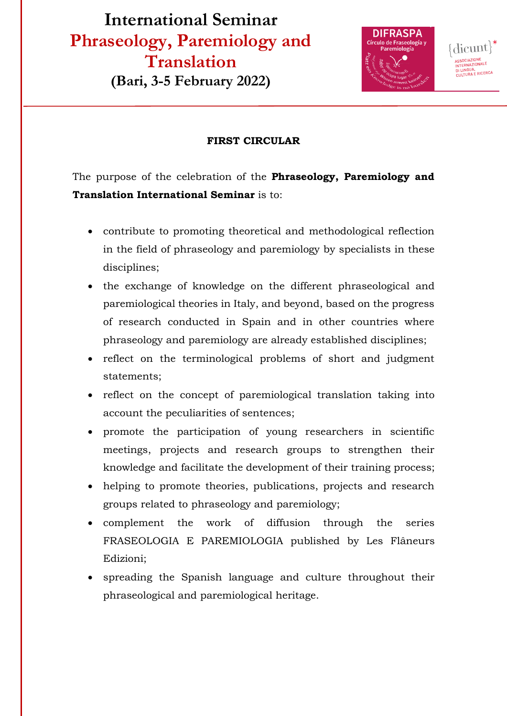# **International Seminar Phraseology, Paremiology and Translation (Bari, 3-5 February 2022)**



ASSOCIAZIONE<br>INTERNAZIONALE DI LINGUA,<br>CULTURA E RICERCA

## **FIRST CIRCULAR**

The purpose of the celebration of the **Phraseology, Paremiology and Translation International Seminar** is to:

- contribute to promoting theoretical and methodological reflection in the field of phraseology and paremiology by specialists in these disciplines;
- the exchange of knowledge on the different phraseological and paremiological theories in Italy, and beyond, based on the progress of research conducted in Spain and in other countries where phraseology and paremiology are already established disciplines;
- reflect on the terminological problems of short and judgment statements;
- reflect on the concept of paremiological translation taking into account the peculiarities of sentences;
- promote the participation of young researchers in scientific meetings, projects and research groups to strengthen their knowledge and facilitate the development of their training process;
- helping to promote theories, publications, projects and research groups related to phraseology and paremiology;
- complement the work of diffusion through the series FRASEOLOGIA E PAREMIOLOGIA published by Les Flâneurs Edizioni;
- spreading the Spanish language and culture throughout their phraseological and paremiological heritage.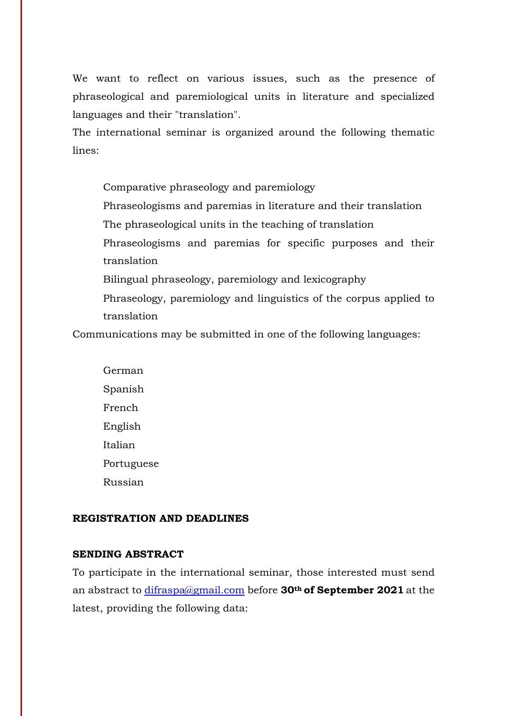We want to reflect on various issues, such as the presence of phraseological and paremiological units in literature and specialized languages and their "translation".

The international seminar is organized around the following thematic lines:

 Comparative phraseology and paremiology Phraseologisms and paremias in literature and their translation The phraseological units in the teaching of translation Phraseologisms and paremias for specific purposes and their translation Bilingual phraseology, paremiology and lexicography Phraseology, paremiology and linguistics of the corpus applied to

translation

Communications may be submitted in one of the following languages:

 German Spanish French English Italian Portuguese Russian

#### **REGISTRATION AND DEADLINES**

## **SENDING ABSTRACT**

To participate in the international seminar, those interested must send an abstract to difraspa@gmail.com before **30th of September 2021** at the latest, providing the following data: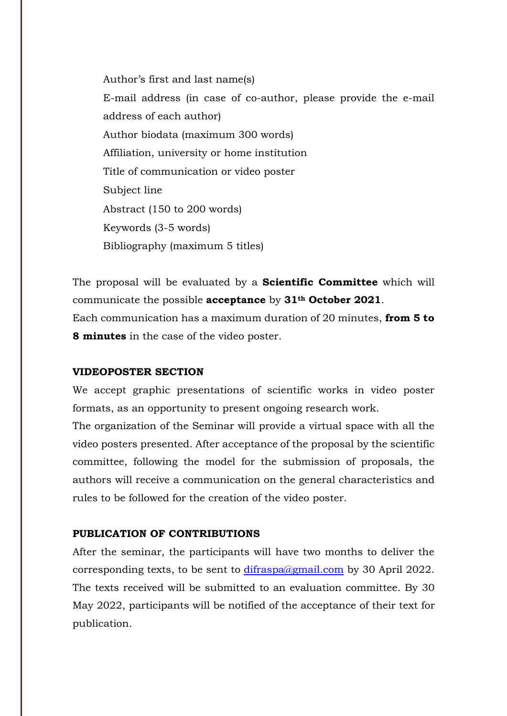Author's first and last name(s) E-mail address (in case of co-author, please provide the e-mail address of each author) Author biodata (maximum 300 words) Affiliation, university or home institution Title of communication or video poster Subject line Abstract (150 to 200 words) Keywords (3-5 words) Bibliography (maximum 5 titles)

The proposal will be evaluated by a **Scientific Committee** which will communicate the possible **acceptance** by **31th October 2021**. Each communication has a maximum duration of 20 minutes, **from 5 to** 

**8 minutes** in the case of the video poster.

#### **VIDEOPOSTER SECTION**

We accept graphic presentations of scientific works in video poster formats, as an opportunity to present ongoing research work.

The organization of the Seminar will provide a virtual space with all the video posters presented. After acceptance of the proposal by the scientific committee, following the model for the submission of proposals, the authors will receive a communication on the general characteristics and rules to be followed for the creation of the video poster.

#### **PUBLICATION OF CONTRIBUTIONS**

After the seminar, the participants will have two months to deliver the corresponding texts, to be sent to  $\frac{\text{difraspa}(a\text{gmail.com})}{\text{gonal.com}}$  by 30 April 2022. The texts received will be submitted to an evaluation committee. By 30 May 2022, participants will be notified of the acceptance of their text for publication.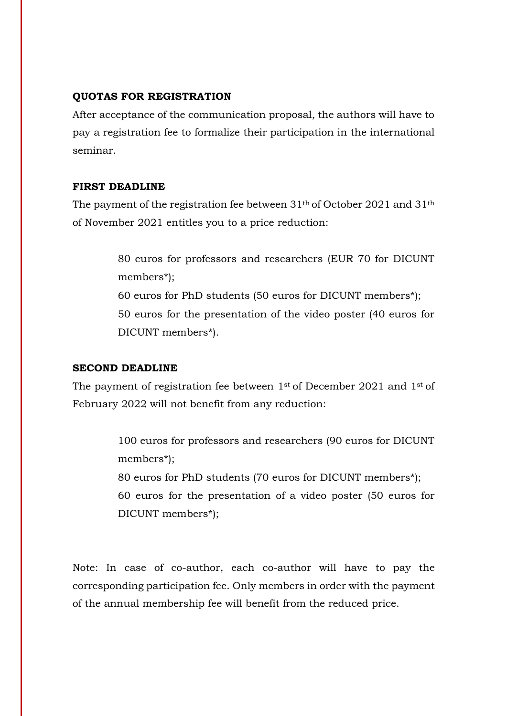#### **QUOTAS FOR REGISTRATION**

After acceptance of the communication proposal, the authors will have to pay a registration fee to formalize their participation in the international seminar.

#### **FIRST DEADLINE**

The payment of the registration fee between 31th of October 2021 and 31th of November 2021 entitles you to a price reduction:

> 80 euros for professors and researchers (EUR 70 for DICUNT members\*); 60 euros for PhD students (50 euros for DICUNT members\*); 50 euros for the presentation of the video poster (40 euros for DICUNT members\*).

### **SECOND DEADLINE**

The payment of registration fee between 1st of December 2021 and 1st of February 2022 will not benefit from any reduction:

> 100 euros for professors and researchers (90 euros for DICUNT members\*);

> 80 euros for PhD students (70 euros for DICUNT members\*); 60 euros for the presentation of a video poster (50 euros for DICUNT members\*);

Note: In case of co-author, each co-author will have to pay the corresponding participation fee. Only members in order with the payment of the annual membership fee will benefit from the reduced price.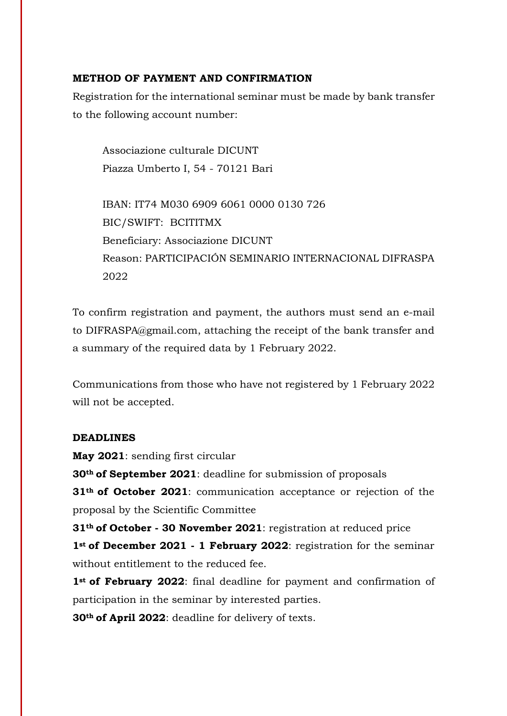#### **METHOD OF PAYMENT AND CONFIRMATION**

Registration for the international seminar must be made by bank transfer to the following account number:

Associazione culturale DICUNT Piazza Umberto I, 54 - 70121 Bari

IBAN: IT74 M030 6909 6061 0000 0130 726 BIC/SWIFT: BCITITMX Beneficiary: Associazione DICUNT Reason: PARTICIPACIÓN SEMINARIO INTERNACIONAL DIFRASPA 2022

To confirm registration and payment, the authors must send an e-mail to DIFRASPA@gmail.com, attaching the receipt of the bank transfer and a summary of the required data by 1 February 2022.

Communications from those who have not registered by 1 February 2022 will not be accepted.

#### **DEADLINES**

**May 2021**: sending first circular **30th of September 2021**: deadline for submission of proposals **31th of October 2021**: communication acceptance or rejection of the proposal by the Scientific Committee

**31th of October - 30 November 2021**: registration at reduced price **1st of December 2021 - 1 February 2022**: registration for the seminar without entitlement to the reduced fee.

**1st of February 2022**: final deadline for payment and confirmation of participation in the seminar by interested parties.

**30th of April 2022**: deadline for delivery of texts.